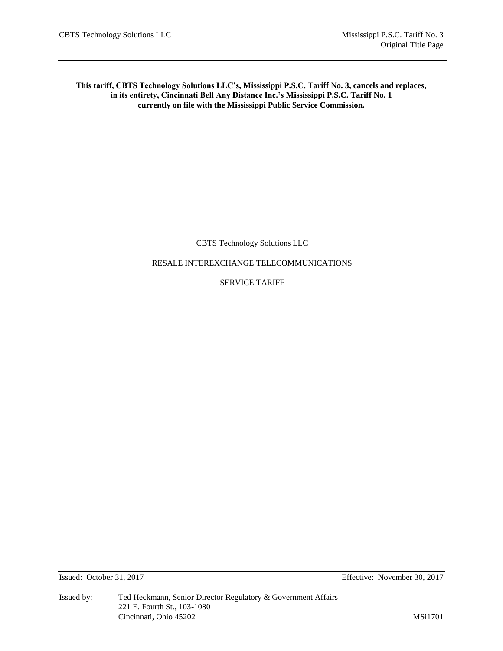# **This tariff, CBTS Technology Solutions LLC's, Mississippi P.S.C. Tariff No. 3, cancels and replaces, in its entirety, Cincinnati Bell Any Distance Inc.'s Mississippi P.S.C. Tariff No. 1 currently on file with the Mississippi Public Service Commission.**

CBTS Technology Solutions LLC

# RESALE INTEREXCHANGE TELECOMMUNICATIONS

# SERVICE TARIFF

Issued: October 31, 2017 Effective: November 30, 2017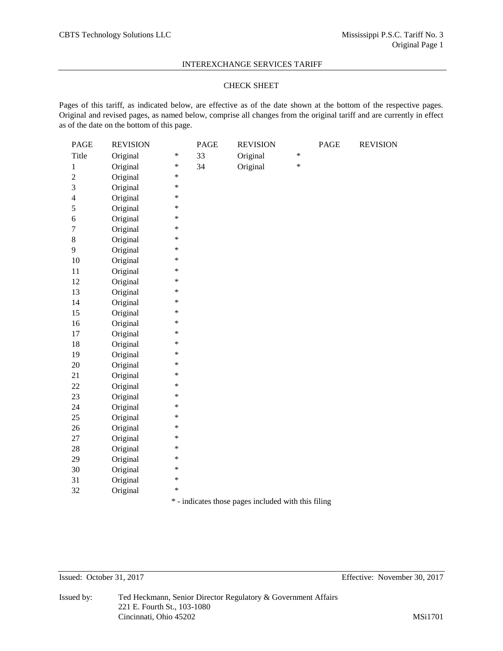# CHECK SHEET

Pages of this tariff, as indicated below, are effective as of the date shown at the bottom of the respective pages. Original and revised pages, as named below, comprise all changes from the original tariff and are currently in effect as of the date on the bottom of this page.

| Original<br>$\ast$<br>Title<br>Original<br>*<br>33<br>$\ast$<br>Original<br>*<br>34<br>Original<br>$\mathbf{1}$<br>$\overline{c}$<br>Original<br>$\ast$<br>3<br>Original<br>$\ast$<br>Original<br>$\ast$<br>$\overline{\mathbf{4}}$<br>Original<br>$\ast$<br>5<br>Original<br>$\ast$<br>$\epsilon$<br>$\overline{7}$<br>Original<br>$\ast$<br>$8\,$<br>Original<br>$\ast$<br>9<br>Original<br>$\ast$<br>Original<br>$\ast$<br>$10\,$<br>Original<br>*<br>$11\,$<br>12<br>Original<br>$\ast$<br>$\ast$<br>13<br>Original<br>Original<br>*<br>14<br>15<br>Original<br>$\ast$<br>Original<br>$\ast$<br>16<br>*<br>Original<br>$17\,$<br>18<br>Original<br>$\ast$<br>19<br>Original<br>*<br>20<br>Original<br>$\ast$<br>*<br>Original<br>21<br>Original<br>22<br>∗<br>23<br>Original<br>∗<br>*<br>Original<br>24<br>25<br>Original<br>∗<br>26<br>Original<br>∗<br>Original<br>$\ast$<br>27<br>*<br>28<br>Original<br>29<br>Original<br>∗<br>30<br>Original<br>∗<br>31<br>Original<br>$\ast$<br>*<br>Original<br>32 | PAGE | <b>REVISION</b> | <b>PAGE</b> | <b>REVISION</b> | PAGE | <b>REVISION</b> |
|----------------------------------------------------------------------------------------------------------------------------------------------------------------------------------------------------------------------------------------------------------------------------------------------------------------------------------------------------------------------------------------------------------------------------------------------------------------------------------------------------------------------------------------------------------------------------------------------------------------------------------------------------------------------------------------------------------------------------------------------------------------------------------------------------------------------------------------------------------------------------------------------------------------------------------------------------------------------------------------------------------------|------|-----------------|-------------|-----------------|------|-----------------|
|                                                                                                                                                                                                                                                                                                                                                                                                                                                                                                                                                                                                                                                                                                                                                                                                                                                                                                                                                                                                                |      |                 |             |                 |      |                 |
|                                                                                                                                                                                                                                                                                                                                                                                                                                                                                                                                                                                                                                                                                                                                                                                                                                                                                                                                                                                                                |      |                 |             |                 |      |                 |
|                                                                                                                                                                                                                                                                                                                                                                                                                                                                                                                                                                                                                                                                                                                                                                                                                                                                                                                                                                                                                |      |                 |             |                 |      |                 |
|                                                                                                                                                                                                                                                                                                                                                                                                                                                                                                                                                                                                                                                                                                                                                                                                                                                                                                                                                                                                                |      |                 |             |                 |      |                 |
|                                                                                                                                                                                                                                                                                                                                                                                                                                                                                                                                                                                                                                                                                                                                                                                                                                                                                                                                                                                                                |      |                 |             |                 |      |                 |
|                                                                                                                                                                                                                                                                                                                                                                                                                                                                                                                                                                                                                                                                                                                                                                                                                                                                                                                                                                                                                |      |                 |             |                 |      |                 |
|                                                                                                                                                                                                                                                                                                                                                                                                                                                                                                                                                                                                                                                                                                                                                                                                                                                                                                                                                                                                                |      |                 |             |                 |      |                 |
|                                                                                                                                                                                                                                                                                                                                                                                                                                                                                                                                                                                                                                                                                                                                                                                                                                                                                                                                                                                                                |      |                 |             |                 |      |                 |
|                                                                                                                                                                                                                                                                                                                                                                                                                                                                                                                                                                                                                                                                                                                                                                                                                                                                                                                                                                                                                |      |                 |             |                 |      |                 |
|                                                                                                                                                                                                                                                                                                                                                                                                                                                                                                                                                                                                                                                                                                                                                                                                                                                                                                                                                                                                                |      |                 |             |                 |      |                 |
|                                                                                                                                                                                                                                                                                                                                                                                                                                                                                                                                                                                                                                                                                                                                                                                                                                                                                                                                                                                                                |      |                 |             |                 |      |                 |
|                                                                                                                                                                                                                                                                                                                                                                                                                                                                                                                                                                                                                                                                                                                                                                                                                                                                                                                                                                                                                |      |                 |             |                 |      |                 |
|                                                                                                                                                                                                                                                                                                                                                                                                                                                                                                                                                                                                                                                                                                                                                                                                                                                                                                                                                                                                                |      |                 |             |                 |      |                 |
|                                                                                                                                                                                                                                                                                                                                                                                                                                                                                                                                                                                                                                                                                                                                                                                                                                                                                                                                                                                                                |      |                 |             |                 |      |                 |
|                                                                                                                                                                                                                                                                                                                                                                                                                                                                                                                                                                                                                                                                                                                                                                                                                                                                                                                                                                                                                |      |                 |             |                 |      |                 |
|                                                                                                                                                                                                                                                                                                                                                                                                                                                                                                                                                                                                                                                                                                                                                                                                                                                                                                                                                                                                                |      |                 |             |                 |      |                 |
|                                                                                                                                                                                                                                                                                                                                                                                                                                                                                                                                                                                                                                                                                                                                                                                                                                                                                                                                                                                                                |      |                 |             |                 |      |                 |
|                                                                                                                                                                                                                                                                                                                                                                                                                                                                                                                                                                                                                                                                                                                                                                                                                                                                                                                                                                                                                |      |                 |             |                 |      |                 |
|                                                                                                                                                                                                                                                                                                                                                                                                                                                                                                                                                                                                                                                                                                                                                                                                                                                                                                                                                                                                                |      |                 |             |                 |      |                 |
|                                                                                                                                                                                                                                                                                                                                                                                                                                                                                                                                                                                                                                                                                                                                                                                                                                                                                                                                                                                                                |      |                 |             |                 |      |                 |
|                                                                                                                                                                                                                                                                                                                                                                                                                                                                                                                                                                                                                                                                                                                                                                                                                                                                                                                                                                                                                |      |                 |             |                 |      |                 |
|                                                                                                                                                                                                                                                                                                                                                                                                                                                                                                                                                                                                                                                                                                                                                                                                                                                                                                                                                                                                                |      |                 |             |                 |      |                 |
|                                                                                                                                                                                                                                                                                                                                                                                                                                                                                                                                                                                                                                                                                                                                                                                                                                                                                                                                                                                                                |      |                 |             |                 |      |                 |
|                                                                                                                                                                                                                                                                                                                                                                                                                                                                                                                                                                                                                                                                                                                                                                                                                                                                                                                                                                                                                |      |                 |             |                 |      |                 |
|                                                                                                                                                                                                                                                                                                                                                                                                                                                                                                                                                                                                                                                                                                                                                                                                                                                                                                                                                                                                                |      |                 |             |                 |      |                 |
|                                                                                                                                                                                                                                                                                                                                                                                                                                                                                                                                                                                                                                                                                                                                                                                                                                                                                                                                                                                                                |      |                 |             |                 |      |                 |
|                                                                                                                                                                                                                                                                                                                                                                                                                                                                                                                                                                                                                                                                                                                                                                                                                                                                                                                                                                                                                |      |                 |             |                 |      |                 |
|                                                                                                                                                                                                                                                                                                                                                                                                                                                                                                                                                                                                                                                                                                                                                                                                                                                                                                                                                                                                                |      |                 |             |                 |      |                 |
|                                                                                                                                                                                                                                                                                                                                                                                                                                                                                                                                                                                                                                                                                                                                                                                                                                                                                                                                                                                                                |      |                 |             |                 |      |                 |
|                                                                                                                                                                                                                                                                                                                                                                                                                                                                                                                                                                                                                                                                                                                                                                                                                                                                                                                                                                                                                |      |                 |             |                 |      |                 |
|                                                                                                                                                                                                                                                                                                                                                                                                                                                                                                                                                                                                                                                                                                                                                                                                                                                                                                                                                                                                                |      |                 |             |                 |      |                 |
|                                                                                                                                                                                                                                                                                                                                                                                                                                                                                                                                                                                                                                                                                                                                                                                                                                                                                                                                                                                                                |      |                 |             |                 |      |                 |
|                                                                                                                                                                                                                                                                                                                                                                                                                                                                                                                                                                                                                                                                                                                                                                                                                                                                                                                                                                                                                |      |                 |             |                 |      |                 |

\* - indicates those pages included with this filing

Issued: October 31, 2017 Effective: November 30, 2017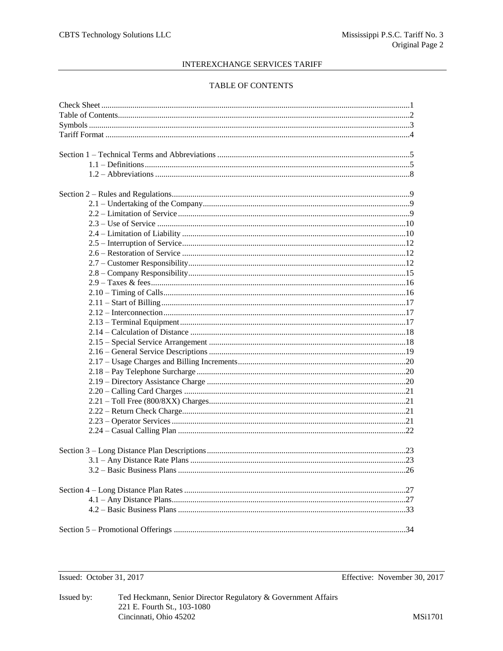# TABLE OF CONTENTS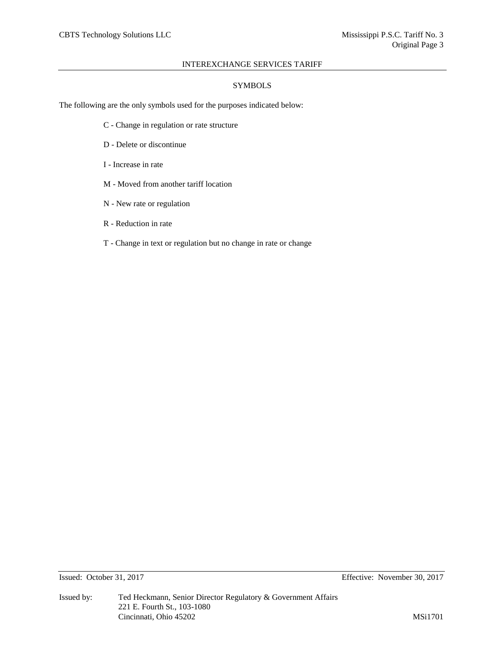# **SYMBOLS**

The following are the only symbols used for the purposes indicated below:

- C Change in regulation or rate structure
- D Delete or discontinue
- I Increase in rate
- M Moved from another tariff location
- N New rate or regulation
- R Reduction in rate
- T Change in text or regulation but no change in rate or change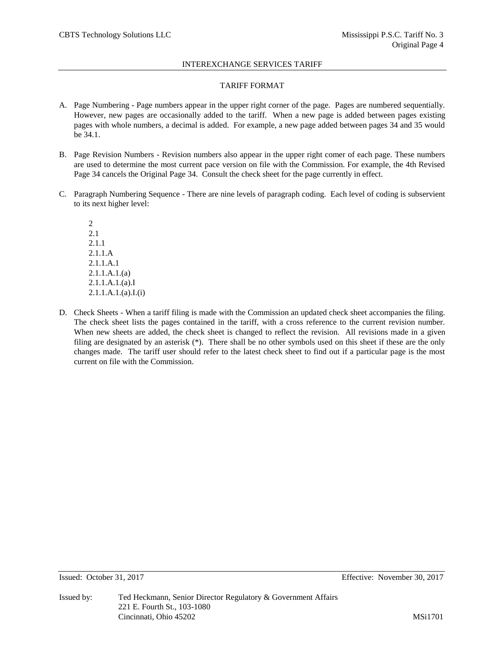# TARIFF FORMAT

- A. Page Numbering Page numbers appear in the upper right corner of the page. Pages are numbered sequentially. However, new pages are occasionally added to the tariff. When a new page is added between pages existing pages with whole numbers, a decimal is added. For example, a new page added between pages 34 and 35 would be 34.1.
- B. Page Revision Numbers Revision numbers also appear in the upper right comer of each page. These numbers are used to determine the most current pace version on file with the Commission. For example, the 4th Revised Page 34 cancels the Original Page 34. Consult the check sheet for the page currently in effect.
- C. Paragraph Numbering Sequence There are nine levels of paragraph coding. Each level of coding is subservient to its next higher level:

2 2.1 2.1.1 2.1.1.A 2.1.1.A.1 2.1.1.A.1.(a) 2.1.1.A.1.(a).I 2.1.1.A.1.(a).I.(i)

D. Check Sheets - When a tariff filing is made with the Commission an updated check sheet accompanies the filing. The check sheet lists the pages contained in the tariff, with a cross reference to the current revision number. When new sheets are added, the check sheet is changed to reflect the revision. All revisions made in a given filing are designated by an asterisk (\*). There shall be no other symbols used on this sheet if these are the only changes made. The tariff user should refer to the latest check sheet to find out if a particular page is the most current on file with the Commission.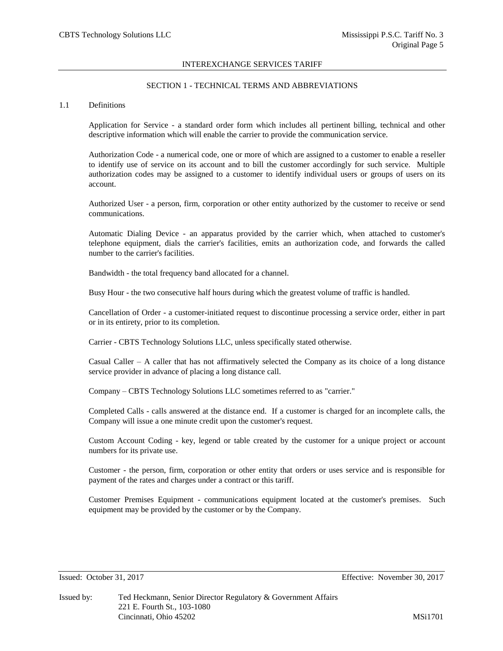# SECTION 1 - TECHNICAL TERMS AND ABBREVIATIONS

#### 1.1 Definitions

Application for Service - a standard order form which includes all pertinent billing, technical and other descriptive information which will enable the carrier to provide the communication service.

Authorization Code - a numerical code, one or more of which are assigned to a customer to enable a reseller to identify use of service on its account and to bill the customer accordingly for such service. Multiple authorization codes may be assigned to a customer to identify individual users or groups of users on its account.

Authorized User - a person, firm, corporation or other entity authorized by the customer to receive or send communications.

Automatic Dialing Device - an apparatus provided by the carrier which, when attached to customer's telephone equipment, dials the carrier's facilities, emits an authorization code, and forwards the called number to the carrier's facilities.

Bandwidth - the total frequency band allocated for a channel.

Busy Hour - the two consecutive half hours during which the greatest volume of traffic is handled.

Cancellation of Order - a customer-initiated request to discontinue processing a service order, either in part or in its entirety, prior to its completion.

Carrier - CBTS Technology Solutions LLC, unless specifically stated otherwise.

Casual Caller  $- A$  caller that has not affirmatively selected the Company as its choice of a long distance service provider in advance of placing a long distance call.

Company – CBTS Technology Solutions LLC sometimes referred to as "carrier."

Completed Calls - calls answered at the distance end. If a customer is charged for an incomplete calls, the Company will issue a one minute credit upon the customer's request.

Custom Account Coding - key, legend or table created by the customer for a unique project or account numbers for its private use.

Customer - the person, firm, corporation or other entity that orders or uses service and is responsible for payment of the rates and charges under a contract or this tariff.

Customer Premises Equipment - communications equipment located at the customer's premises. Such equipment may be provided by the customer or by the Company.

Issued: October 31, 2017 Effective: November 30, 2017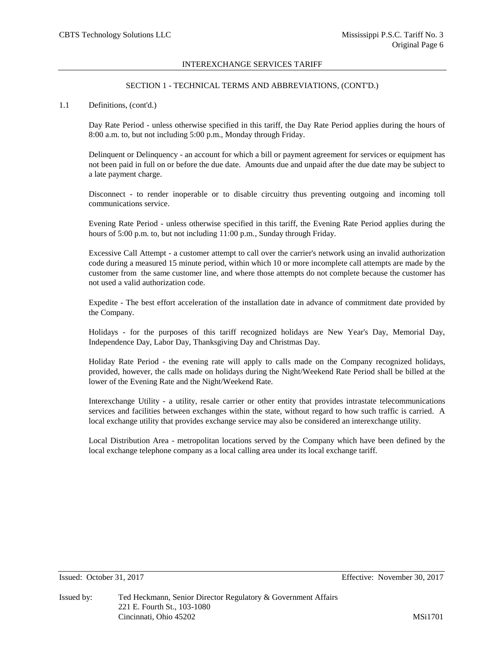# SECTION 1 - TECHNICAL TERMS AND ABBREVIATIONS, (CONT'D.)

## 1.1 Definitions, (cont'd.)

Day Rate Period - unless otherwise specified in this tariff, the Day Rate Period applies during the hours of 8:00 a.m. to, but not including 5:00 p.m., Monday through Friday.

Delinquent or Delinquency - an account for which a bill or payment agreement for services or equipment has not been paid in full on or before the due date. Amounts due and unpaid after the due date may be subject to a late payment charge.

Disconnect - to render inoperable or to disable circuitry thus preventing outgoing and incoming toll communications service.

Evening Rate Period - unless otherwise specified in this tariff, the Evening Rate Period applies during the hours of 5:00 p.m. to, but not including 11:00 p.m., Sunday through Friday.

Excessive Call Attempt - a customer attempt to call over the carrier's network using an invalid authorization code during a measured 15 minute period, within which 10 or more incomplete call attempts are made by the customer from the same customer line, and where those attempts do not complete because the customer has not used a valid authorization code.

Expedite - The best effort acceleration of the installation date in advance of commitment date provided by the Company.

Holidays - for the purposes of this tariff recognized holidays are New Year's Day, Memorial Day, Independence Day, Labor Day, Thanksgiving Day and Christmas Day.

Holiday Rate Period - the evening rate will apply to calls made on the Company recognized holidays, provided, however, the calls made on holidays during the Night/Weekend Rate Period shall be billed at the lower of the Evening Rate and the Night/Weekend Rate.

Interexchange Utility - a utility, resale carrier or other entity that provides intrastate telecommunications services and facilities between exchanges within the state, without regard to how such traffic is carried. A local exchange utility that provides exchange service may also be considered an interexchange utility.

Local Distribution Area - metropolitan locations served by the Company which have been defined by the local exchange telephone company as a local calling area under its local exchange tariff.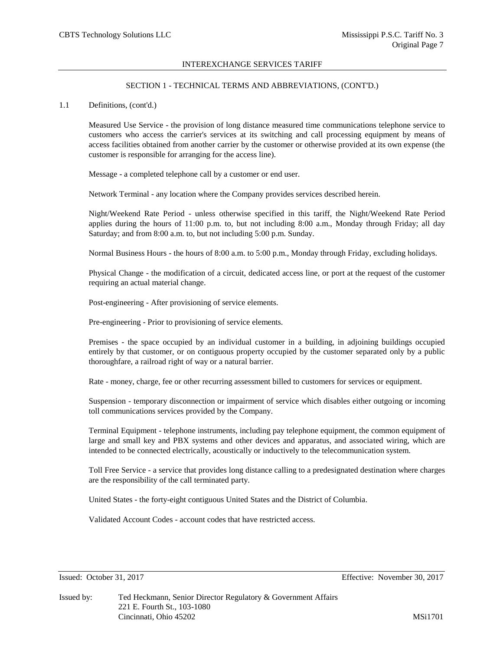# SECTION 1 - TECHNICAL TERMS AND ABBREVIATIONS, (CONT'D.)

### 1.1 Definitions, (cont'd.)

Measured Use Service - the provision of long distance measured time communications telephone service to customers who access the carrier's services at its switching and call processing equipment by means of access facilities obtained from another carrier by the customer or otherwise provided at its own expense (the customer is responsible for arranging for the access line).

Message - a completed telephone call by a customer or end user.

Network Terminal - any location where the Company provides services described herein.

Night/Weekend Rate Period - unless otherwise specified in this tariff, the Night/Weekend Rate Period applies during the hours of 11:00 p.m. to, but not including 8:00 a.m., Monday through Friday; all day Saturday; and from 8:00 a.m. to, but not including 5:00 p.m. Sunday.

Normal Business Hours - the hours of 8:00 a.m. to 5:00 p.m., Monday through Friday, excluding holidays.

Physical Change - the modification of a circuit, dedicated access line, or port at the request of the customer requiring an actual material change.

Post-engineering - After provisioning of service elements.

Pre-engineering - Prior to provisioning of service elements.

Premises - the space occupied by an individual customer in a building, in adjoining buildings occupied entirely by that customer, or on contiguous property occupied by the customer separated only by a public thoroughfare, a railroad right of way or a natural barrier.

Rate - money, charge, fee or other recurring assessment billed to customers for services or equipment.

Suspension - temporary disconnection or impairment of service which disables either outgoing or incoming toll communications services provided by the Company.

Terminal Equipment - telephone instruments, including pay telephone equipment, the common equipment of large and small key and PBX systems and other devices and apparatus, and associated wiring, which are intended to be connected electrically, acoustically or inductively to the telecommunication system.

Toll Free Service - a service that provides long distance calling to a predesignated destination where charges are the responsibility of the call terminated party.

United States - the forty-eight contiguous United States and the District of Columbia.

Validated Account Codes - account codes that have restricted access.

Issued: October 31, 2017 Effective: November 30, 2017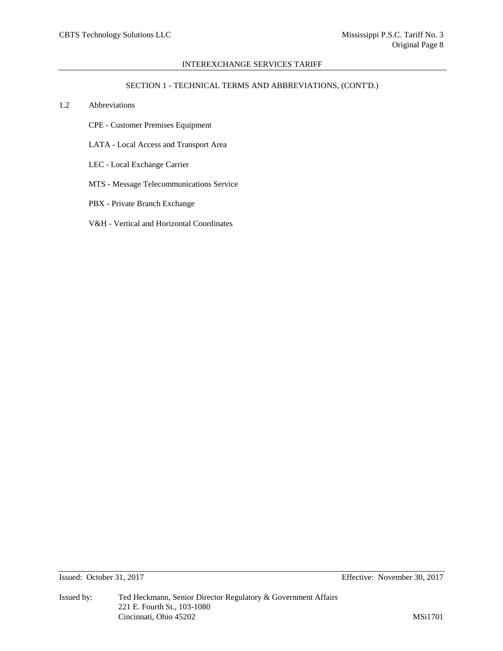# SECTION 1 - TECHNICAL TERMS AND ABBREVIATIONS, (CONT'D.)

# 1.2 Abbreviations

- CPE Customer Premises Equipment
- LATA Local Access and Transport Area
- LEC Local Exchange Carrier
- MTS Message Telecommunications Service
- PBX Private Branch Exchange
- V&H Vertical and Horizontal Coordinates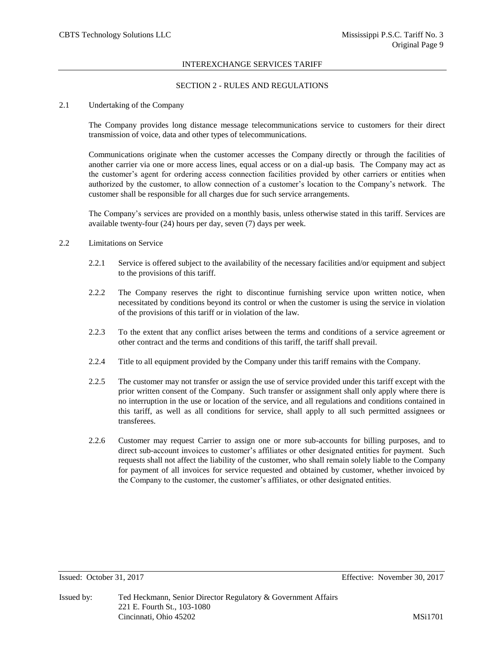# SECTION 2 - RULES AND REGULATIONS

### 2.1 Undertaking of the Company

The Company provides long distance message telecommunications service to customers for their direct transmission of voice, data and other types of telecommunications.

Communications originate when the customer accesses the Company directly or through the facilities of another carrier via one or more access lines, equal access or on a dial-up basis. The Company may act as the customer's agent for ordering access connection facilities provided by other carriers or entities when authorized by the customer, to allow connection of a customer's location to the Company's network. The customer shall be responsible for all charges due for such service arrangements.

The Company's services are provided on a monthly basis, unless otherwise stated in this tariff. Services are available twenty-four (24) hours per day, seven (7) days per week.

## 2.2 Limitations on Service

- 2.2.1 Service is offered subject to the availability of the necessary facilities and/or equipment and subject to the provisions of this tariff.
- 2.2.2 The Company reserves the right to discontinue furnishing service upon written notice, when necessitated by conditions beyond its control or when the customer is using the service in violation of the provisions of this tariff or in violation of the law.
- 2.2.3 To the extent that any conflict arises between the terms and conditions of a service agreement or other contract and the terms and conditions of this tariff, the tariff shall prevail.
- 2.2.4 Title to all equipment provided by the Company under this tariff remains with the Company.
- 2.2.5 The customer may not transfer or assign the use of service provided under this tariff except with the prior written consent of the Company. Such transfer or assignment shall only apply where there is no interruption in the use or location of the service, and all regulations and conditions contained in this tariff, as well as all conditions for service, shall apply to all such permitted assignees or transferees.
- 2.2.6 Customer may request Carrier to assign one or more sub-accounts for billing purposes, and to direct sub-account invoices to customer's affiliates or other designated entities for payment. Such requests shall not affect the liability of the customer, who shall remain solely liable to the Company for payment of all invoices for service requested and obtained by customer, whether invoiced by the Company to the customer, the customer's affiliates, or other designated entities.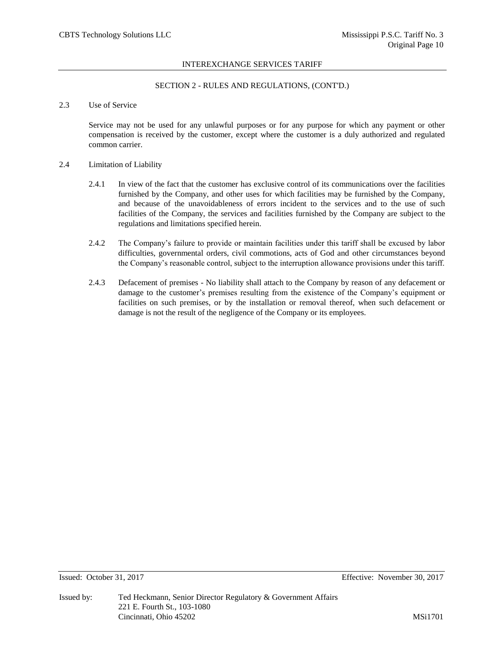# SECTION 2 - RULES AND REGULATIONS, (CONT'D.)

# 2.3 Use of Service

Service may not be used for any unlawful purposes or for any purpose for which any payment or other compensation is received by the customer, except where the customer is a duly authorized and regulated common carrier.

### 2.4 Limitation of Liability

- 2.4.1 In view of the fact that the customer has exclusive control of its communications over the facilities furnished by the Company, and other uses for which facilities may be furnished by the Company, and because of the unavoidableness of errors incident to the services and to the use of such facilities of the Company, the services and facilities furnished by the Company are subject to the regulations and limitations specified herein.
- 2.4.2 The Company's failure to provide or maintain facilities under this tariff shall be excused by labor difficulties, governmental orders, civil commotions, acts of God and other circumstances beyond the Company's reasonable control, subject to the interruption allowance provisions under this tariff.
- 2.4.3 Defacement of premises No liability shall attach to the Company by reason of any defacement or damage to the customer's premises resulting from the existence of the Company's equipment or facilities on such premises, or by the installation or removal thereof, when such defacement or damage is not the result of the negligence of the Company or its employees.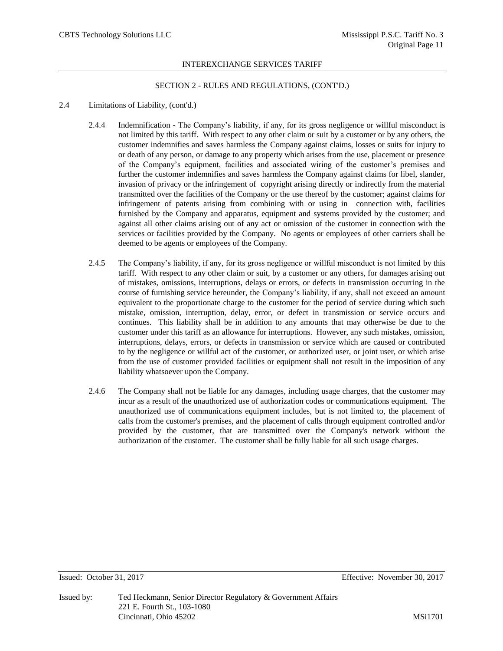## SECTION 2 - RULES AND REGULATIONS, (CONT'D.)

# 2.4 Limitations of Liability, (cont'd.)

- 2.4.4 Indemnification The Company's liability, if any, for its gross negligence or willful misconduct is not limited by this tariff. With respect to any other claim or suit by a customer or by any others, the customer indemnifies and saves harmless the Company against claims, losses or suits for injury to or death of any person, or damage to any property which arises from the use, placement or presence of the Company's equipment, facilities and associated wiring of the customer's premises and further the customer indemnifies and saves harmless the Company against claims for libel, slander, invasion of privacy or the infringement of copyright arising directly or indirectly from the material transmitted over the facilities of the Company or the use thereof by the customer; against claims for infringement of patents arising from combining with or using in connection with, facilities furnished by the Company and apparatus, equipment and systems provided by the customer; and against all other claims arising out of any act or omission of the customer in connection with the services or facilities provided by the Company. No agents or employees of other carriers shall be deemed to be agents or employees of the Company.
- 2.4.5 The Company's liability, if any, for its gross negligence or willful misconduct is not limited by this tariff. With respect to any other claim or suit, by a customer or any others, for damages arising out of mistakes, omissions, interruptions, delays or errors, or defects in transmission occurring in the course of furnishing service hereunder, the Company's liability, if any, shall not exceed an amount equivalent to the proportionate charge to the customer for the period of service during which such mistake, omission, interruption, delay, error, or defect in transmission or service occurs and continues. This liability shall be in addition to any amounts that may otherwise be due to the customer under this tariff as an allowance for interruptions. However, any such mistakes, omission, interruptions, delays, errors, or defects in transmission or service which are caused or contributed to by the negligence or willful act of the customer, or authorized user, or joint user, or which arise from the use of customer provided facilities or equipment shall not result in the imposition of any liability whatsoever upon the Company.
- 2.4.6 The Company shall not be liable for any damages, including usage charges, that the customer may incur as a result of the unauthorized use of authorization codes or communications equipment. The unauthorized use of communications equipment includes, but is not limited to, the placement of calls from the customer's premises, and the placement of calls through equipment controlled and/or provided by the customer, that are transmitted over the Company's network without the authorization of the customer. The customer shall be fully liable for all such usage charges.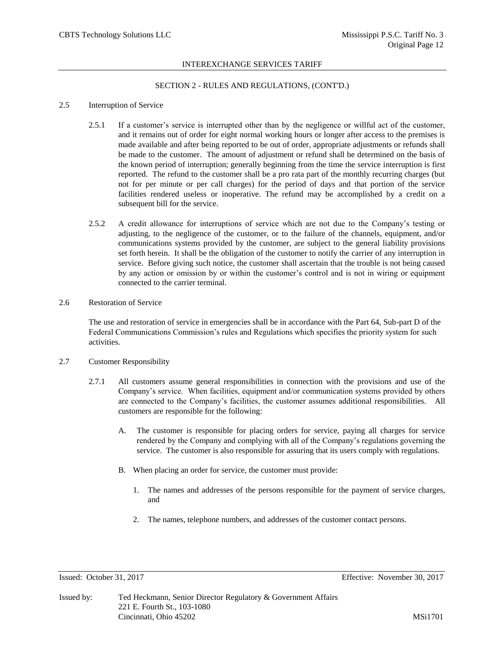# SECTION 2 - RULES AND REGULATIONS, (CONT'D.)

# 2.5 Interruption of Service

- 2.5.1 If a customer's service is interrupted other than by the negligence or willful act of the customer, and it remains out of order for eight normal working hours or longer after access to the premises is made available and after being reported to be out of order, appropriate adjustments or refunds shall be made to the customer. The amount of adjustment or refund shall be determined on the basis of the known period of interruption; generally beginning from the time the service interruption is first reported. The refund to the customer shall be a pro rata part of the monthly recurring charges (but not for per minute or per call charges) for the period of days and that portion of the service facilities rendered useless or inoperative. The refund may be accomplished by a credit on a subsequent bill for the service.
- 2.5.2 A credit allowance for interruptions of service which are not due to the Company's testing or adjusting, to the negligence of the customer, or to the failure of the channels, equipment, and/or communications systems provided by the customer, are subject to the general liability provisions set forth herein. It shall be the obligation of the customer to notify the carrier of any interruption in service. Before giving such notice, the customer shall ascertain that the trouble is not being caused by any action or omission by or within the customer's control and is not in wiring or equipment connected to the carrier terminal.

# 2.6 Restoration of Service

The use and restoration of service in emergencies shall be in accordance with the Part 64, Sub-part D of the Federal Communications Commission's rules and Regulations which specifies the priority system for such activities.

### 2.7 Customer Responsibility

- 2.7.1 All customers assume general responsibilities in connection with the provisions and use of the Company's service. When facilities, equipment and/or communication systems provided by others are connected to the Company's facilities, the customer assumes additional responsibilities. All customers are responsible for the following:
	- A. The customer is responsible for placing orders for service, paying all charges for service rendered by the Company and complying with all of the Company's regulations governing the service. The customer is also responsible for assuring that its users comply with regulations.
	- B. When placing an order for service, the customer must provide:
		- 1. The names and addresses of the persons responsible for the payment of service charges, and
		- 2. The names, telephone numbers, and addresses of the customer contact persons.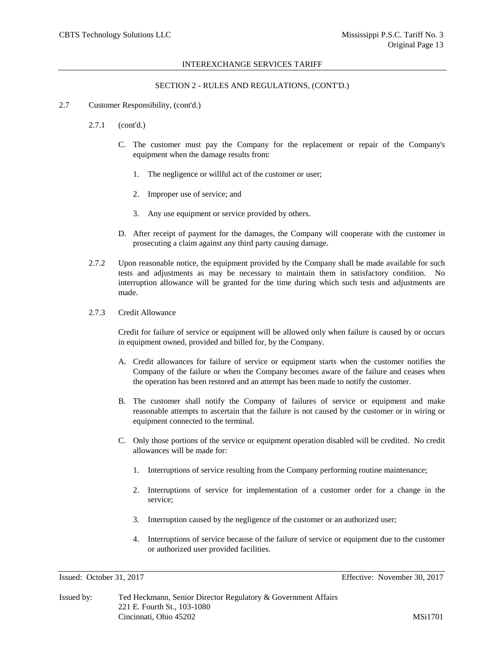## SECTION 2 - RULES AND REGULATIONS, (CONT'D.)

- 2.7 Customer Responsibility, (cont'd.)
	- 2.7.1 (cont'd.)
		- C. The customer must pay the Company for the replacement or repair of the Company's equipment when the damage results from:
			- 1. The negligence or willful act of the customer or user;
			- 2. Improper use of service; and
			- 3. Any use equipment or service provided by others.
		- D. After receipt of payment for the damages, the Company will cooperate with the customer in prosecuting a claim against any third party causing damage.
	- 2.7.2 Upon reasonable notice, the equipment provided by the Company shall be made available for such tests and adjustments as may be necessary to maintain them in satisfactory condition. No interruption allowance will be granted for the time during which such tests and adjustments are made.
	- 2.7.3 Credit Allowance

Credit for failure of service or equipment will be allowed only when failure is caused by or occurs in equipment owned, provided and billed for, by the Company.

- A. Credit allowances for failure of service or equipment starts when the customer notifies the Company of the failure or when the Company becomes aware of the failure and ceases when the operation has been restored and an attempt has been made to notify the customer.
- B. The customer shall notify the Company of failures of service or equipment and make reasonable attempts to ascertain that the failure is not caused by the customer or in wiring or equipment connected to the terminal.
- C. Only those portions of the service or equipment operation disabled will be credited. No credit allowances will be made for:
	- 1. Interruptions of service resulting from the Company performing routine maintenance;
	- 2. Interruptions of service for implementation of a customer order for a change in the service;
	- 3. Interruption caused by the negligence of the customer or an authorized user;
	- 4. Interruptions of service because of the failure of service or equipment due to the customer or authorized user provided facilities.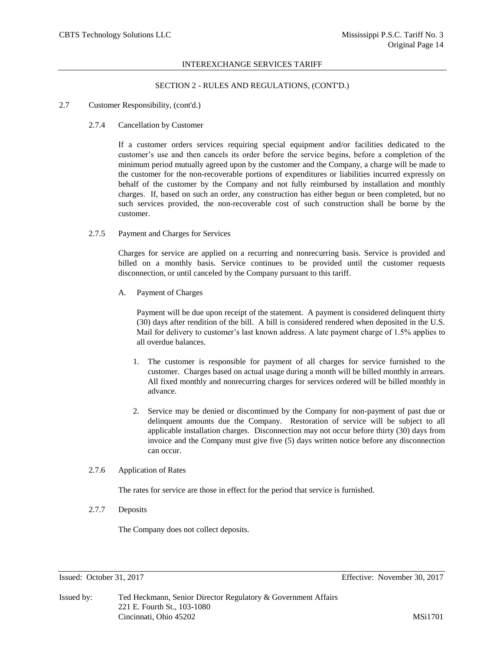# SECTION 2 - RULES AND REGULATIONS, (CONT'D.)

## 2.7 Customer Responsibility, (cont'd.)

### 2.7.4 Cancellation by Customer

If a customer orders services requiring special equipment and/or facilities dedicated to the customer's use and then cancels its order before the service begins, before a completion of the minimum period mutually agreed upon by the customer and the Company, a charge will be made to the customer for the non-recoverable portions of expenditures or liabilities incurred expressly on behalf of the customer by the Company and not fully reimbursed by installation and monthly charges. If, based on such an order, any construction has either begun or been completed, but no such services provided, the non-recoverable cost of such construction shall be borne by the customer.

### 2.7.5 Payment and Charges for Services

Charges for service are applied on a recurring and nonrecurring basis. Service is provided and billed on a monthly basis. Service continues to be provided until the customer requests disconnection, or until canceled by the Company pursuant to this tariff.

A. Payment of Charges

Payment will be due upon receipt of the statement. A payment is considered delinquent thirty (30) days after rendition of the bill. A bill is considered rendered when deposited in the U.S. Mail for delivery to customer's last known address. A late payment charge of 1.5% applies to all overdue balances.

- 1. The customer is responsible for payment of all charges for service furnished to the customer. Charges based on actual usage during a month will be billed monthly in arrears. All fixed monthly and nonrecurring charges for services ordered will be billed monthly in advance.
- 2. Service may be denied or discontinued by the Company for non-payment of past due or delinquent amounts due the Company. Restoration of service will be subject to all applicable installation charges. Disconnection may not occur before thirty (30) days from invoice and the Company must give five (5) days written notice before any disconnection can occur.

# 2.7.6 Application of Rates

The rates for service are those in effect for the period that service is furnished.

2.7.7 Deposits

The Company does not collect deposits.

Issued: October 31, 2017 Effective: November 30, 2017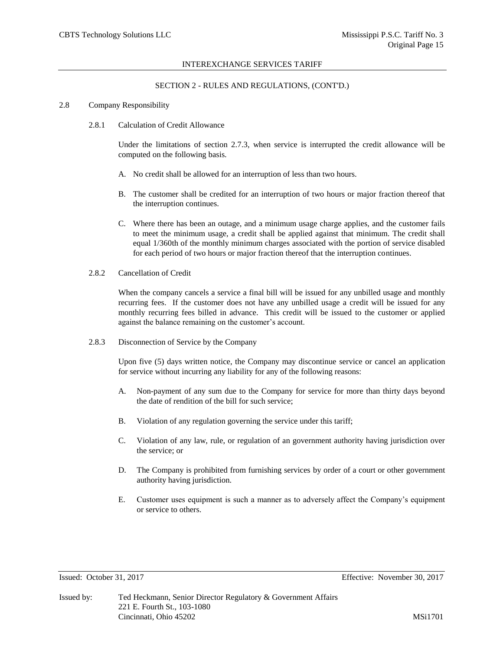#### SECTION 2 - RULES AND REGULATIONS, (CONT'D.)

#### 2.8 Company Responsibility

2.8.1 Calculation of Credit Allowance

Under the limitations of section 2.7.3, when service is interrupted the credit allowance will be computed on the following basis.

- A. No credit shall be allowed for an interruption of less than two hours.
- B. The customer shall be credited for an interruption of two hours or major fraction thereof that the interruption continues.
- C. Where there has been an outage, and a minimum usage charge applies, and the customer fails to meet the minimum usage, a credit shall be applied against that minimum. The credit shall equal 1/360th of the monthly minimum charges associated with the portion of service disabled for each period of two hours or major fraction thereof that the interruption continues.
- 2.8.2 Cancellation of Credit

When the company cancels a service a final bill will be issued for any unbilled usage and monthly recurring fees. If the customer does not have any unbilled usage a credit will be issued for any monthly recurring fees billed in advance. This credit will be issued to the customer or applied against the balance remaining on the customer's account.

2.8.3 Disconnection of Service by the Company

Upon five (5) days written notice, the Company may discontinue service or cancel an application for service without incurring any liability for any of the following reasons:

- A. Non-payment of any sum due to the Company for service for more than thirty days beyond the date of rendition of the bill for such service;
- B. Violation of any regulation governing the service under this tariff;
- C. Violation of any law, rule, or regulation of an government authority having jurisdiction over the service; or
- D. The Company is prohibited from furnishing services by order of a court or other government authority having jurisdiction.
- E. Customer uses equipment is such a manner as to adversely affect the Company's equipment or service to others.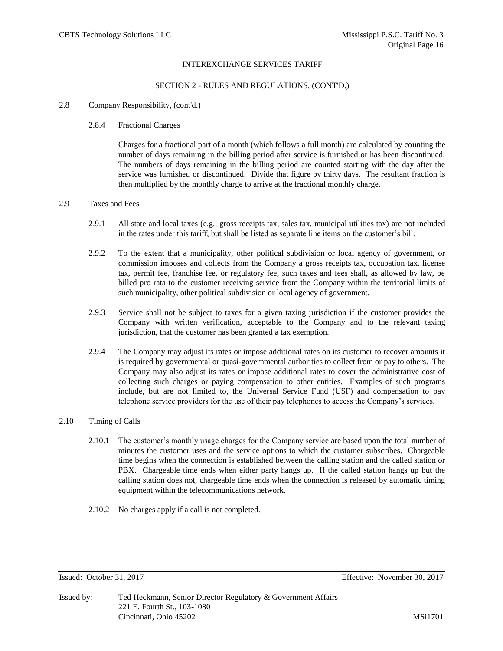# SECTION 2 - RULES AND REGULATIONS, (CONT'D.)

### 2.8 Company Responsibility, (cont'd.)

## 2.8.4 Fractional Charges

Charges for a fractional part of a month (which follows a full month) are calculated by counting the number of days remaining in the billing period after service is furnished or has been discontinued. The numbers of days remaining in the billing period are counted starting with the day after the service was furnished or discontinued. Divide that figure by thirty days. The resultant fraction is then multiplied by the monthly charge to arrive at the fractional monthly charge.

### 2.9 Taxes and Fees

- 2.9.1 All state and local taxes (e.g., gross receipts tax, sales tax, municipal utilities tax) are not included in the rates under this tariff, but shall be listed as separate line items on the customer's bill.
- 2.9.2 To the extent that a municipality, other political subdivision or local agency of government, or commission imposes and collects from the Company a gross receipts tax, occupation tax, license tax, permit fee, franchise fee, or regulatory fee, such taxes and fees shall, as allowed by law, be billed pro rata to the customer receiving service from the Company within the territorial limits of such municipality, other political subdivision or local agency of government.
- 2.9.3 Service shall not be subject to taxes for a given taxing jurisdiction if the customer provides the Company with written verification, acceptable to the Company and to the relevant taxing jurisdiction, that the customer has been granted a tax exemption.
- 2.9.4 The Company may adjust its rates or impose additional rates on its customer to recover amounts it is required by governmental or quasi-governmental authorities to collect from or pay to others. The Company may also adjust its rates or impose additional rates to cover the administrative cost of collecting such charges or paying compensation to other entities. Examples of such programs include, but are not limited to, the Universal Service Fund (USF) and compensation to pay telephone service providers for the use of their pay telephones to access the Company's services.

# 2.10 Timing of Calls

- 2.10.1 The customer's monthly usage charges for the Company service are based upon the total number of minutes the customer uses and the service options to which the customer subscribes. Chargeable time begins when the connection is established between the calling station and the called station or PBX. Chargeable time ends when either party hangs up. If the called station hangs up but the calling station does not, chargeable time ends when the connection is released by automatic timing equipment within the telecommunications network.
- 2.10.2 No charges apply if a call is not completed.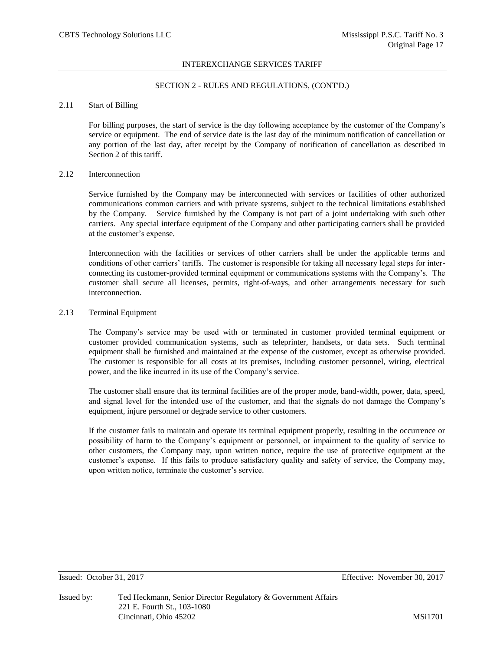# SECTION 2 - RULES AND REGULATIONS, (CONT'D.)

# 2.11 Start of Billing

For billing purposes, the start of service is the day following acceptance by the customer of the Company's service or equipment. The end of service date is the last day of the minimum notification of cancellation or any portion of the last day, after receipt by the Company of notification of cancellation as described in Section 2 of this tariff.

# 2.12 Interconnection

Service furnished by the Company may be interconnected with services or facilities of other authorized communications common carriers and with private systems, subject to the technical limitations established by the Company. Service furnished by the Company is not part of a joint undertaking with such other carriers. Any special interface equipment of the Company and other participating carriers shall be provided at the customer's expense.

Interconnection with the facilities or services of other carriers shall be under the applicable terms and conditions of other carriers' tariffs. The customer is responsible for taking all necessary legal steps for interconnecting its customer-provided terminal equipment or communications systems with the Company's. The customer shall secure all licenses, permits, right-of-ways, and other arrangements necessary for such interconnection.

# 2.13 Terminal Equipment

The Company's service may be used with or terminated in customer provided terminal equipment or customer provided communication systems, such as teleprinter, handsets, or data sets. Such terminal equipment shall be furnished and maintained at the expense of the customer, except as otherwise provided. The customer is responsible for all costs at its premises, including customer personnel, wiring, electrical power, and the like incurred in its use of the Company's service.

The customer shall ensure that its terminal facilities are of the proper mode, band-width, power, data, speed, and signal level for the intended use of the customer, and that the signals do not damage the Company's equipment, injure personnel or degrade service to other customers.

If the customer fails to maintain and operate its terminal equipment properly, resulting in the occurrence or possibility of harm to the Company's equipment or personnel, or impairment to the quality of service to other customers, the Company may, upon written notice, require the use of protective equipment at the customer's expense. If this fails to produce satisfactory quality and safety of service, the Company may, upon written notice, terminate the customer's service.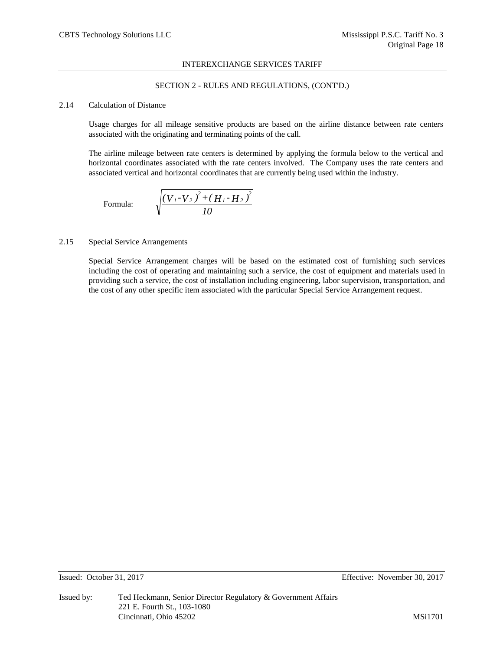# SECTION 2 - RULES AND REGULATIONS, (CONT'D.)

# 2.14 Calculation of Distance

Usage charges for all mileage sensitive products are based on the airline distance between rate centers associated with the originating and terminating points of the call.

The airline mileage between rate centers is determined by applying the formula below to the vertical and horizontal coordinates associated with the rate centers involved. The Company uses the rate centers and associated vertical and horizontal coordinates that are currently being used within the industry.

Formula: 
$$
\sqrt{\frac{(V_{1}-V_{2})^{2}+(H_{1}-H_{2})^{2}}{10}}
$$

# 2.15 Special Service Arrangements

Special Service Arrangement charges will be based on the estimated cost of furnishing such services including the cost of operating and maintaining such a service, the cost of equipment and materials used in providing such a service, the cost of installation including engineering, labor supervision, transportation, and the cost of any other specific item associated with the particular Special Service Arrangement request.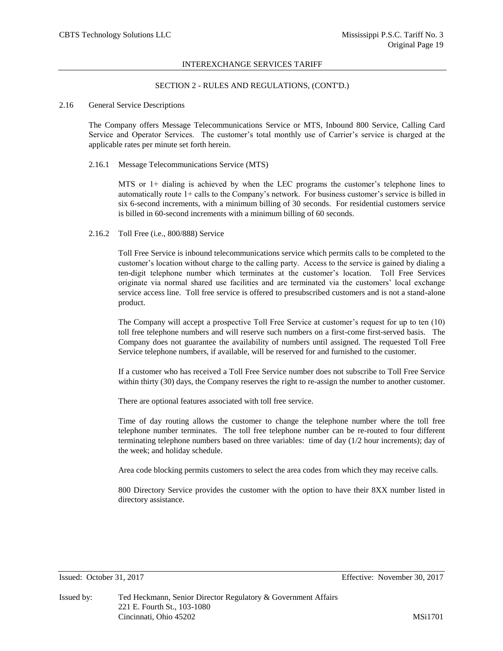## SECTION 2 - RULES AND REGULATIONS, (CONT'D.)

# 2.16 General Service Descriptions

The Company offers Message Telecommunications Service or MTS, Inbound 800 Service, Calling Card Service and Operator Services. The customer's total monthly use of Carrier's service is charged at the applicable rates per minute set forth herein.

#### 2.16.1 Message Telecommunications Service (MTS)

MTS or 1+ dialing is achieved by when the LEC programs the customer's telephone lines to automatically route 1+ calls to the Company's network. For business customer's service is billed in six 6-second increments, with a minimum billing of 30 seconds. For residential customers service is billed in 60-second increments with a minimum billing of 60 seconds.

### 2.16.2 Toll Free (i.e., 800/888) Service

Toll Free Service is inbound telecommunications service which permits calls to be completed to the customer's location without charge to the calling party. Access to the service is gained by dialing a ten-digit telephone number which terminates at the customer's location. Toll Free Services originate via normal shared use facilities and are terminated via the customers' local exchange service access line. Toll free service is offered to presubscribed customers and is not a stand-alone product.

The Company will accept a prospective Toll Free Service at customer's request for up to ten (10) toll free telephone numbers and will reserve such numbers on a first-come first-served basis. The Company does not guarantee the availability of numbers until assigned. The requested Toll Free Service telephone numbers, if available, will be reserved for and furnished to the customer.

If a customer who has received a Toll Free Service number does not subscribe to Toll Free Service within thirty (30) days, the Company reserves the right to re-assign the number to another customer.

There are optional features associated with toll free service.

Time of day routing allows the customer to change the telephone number where the toll free telephone number terminates. The toll free telephone number can be re-routed to four different terminating telephone numbers based on three variables: time of day (1/2 hour increments); day of the week; and holiday schedule.

Area code blocking permits customers to select the area codes from which they may receive calls.

800 Directory Service provides the customer with the option to have their 8XX number listed in directory assistance.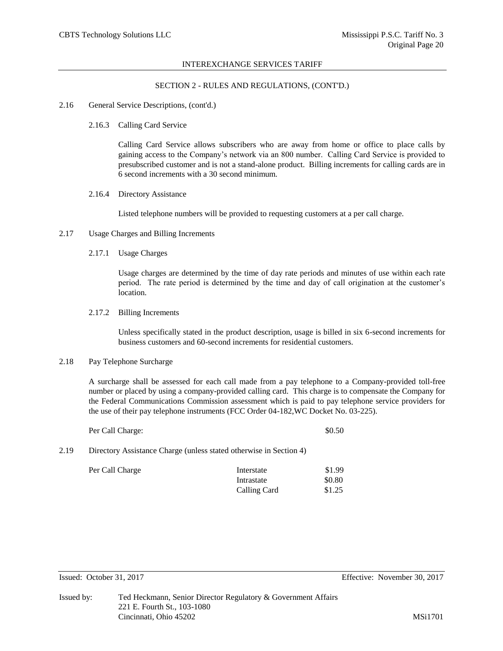## SECTION 2 - RULES AND REGULATIONS, (CONT'D.)

#### 2.16 General Service Descriptions, (cont'd.)

2.16.3 Calling Card Service

Calling Card Service allows subscribers who are away from home or office to place calls by gaining access to the Company's network via an 800 number. Calling Card Service is provided to presubscribed customer and is not a stand-alone product. Billing increments for calling cards are in 6 second increments with a 30 second minimum.

2.16.4 Directory Assistance

Listed telephone numbers will be provided to requesting customers at a per call charge.

- 2.17 Usage Charges and Billing Increments
	- 2.17.1 Usage Charges

Usage charges are determined by the time of day rate periods and minutes of use within each rate period. The rate period is determined by the time and day of call origination at the customer's location.

2.17.2 Billing Increments

Unless specifically stated in the product description, usage is billed in six 6-second increments for business customers and 60-second increments for residential customers.

# 2.18 Pay Telephone Surcharge

A surcharge shall be assessed for each call made from a pay telephone to a Company-provided toll-free number or placed by using a company-provided calling card. This charge is to compensate the Company for the Federal Communications Commission assessment which is paid to pay telephone service providers for the use of their pay telephone instruments (FCC Order 04-182,WC Docket No. 03-225).

|      | Per Call Charge:                                                   | \$0.50 |
|------|--------------------------------------------------------------------|--------|
| 2.19 | Directory Assistance Charge (unless stated otherwise in Section 4) |        |

| Per Call Charge | Interstate   | \$1.99 |
|-----------------|--------------|--------|
|                 | Intrastate   | \$0.80 |
|                 | Calling Card | \$1.25 |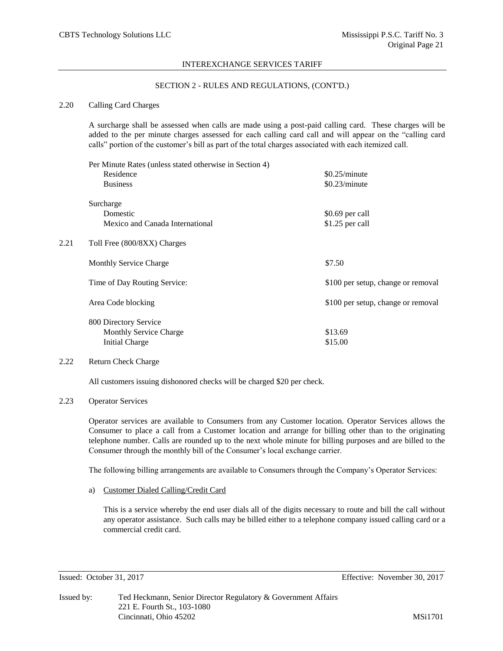# SECTION 2 - RULES AND REGULATIONS, (CONT'D.)

# 2.20 Calling Card Charges

A surcharge shall be assessed when calls are made using a post-paid calling card. These charges will be added to the per minute charges assessed for each calling card call and will appear on the "calling card calls" portion of the customer's bill as part of the total charges associated with each itemized call.

|      | Per Minute Rates (unless stated otherwise in Section 4)<br>Residence | \$0.25/minute                      |  |  |
|------|----------------------------------------------------------------------|------------------------------------|--|--|
|      | <b>Business</b>                                                      | \$0.23/minute                      |  |  |
|      | Surcharge                                                            |                                    |  |  |
|      | Domestic                                                             | \$0.69 per call                    |  |  |
|      | Mexico and Canada International                                      | \$1.25 per call                    |  |  |
| 2.21 | Toll Free (800/8XX) Charges                                          |                                    |  |  |
|      | <b>Monthly Service Charge</b>                                        | \$7.50                             |  |  |
|      | Time of Day Routing Service:                                         | \$100 per setup, change or removal |  |  |
|      | Area Code blocking                                                   | \$100 per setup, change or removal |  |  |
|      | 800 Directory Service                                                |                                    |  |  |
|      | Monthly Service Charge                                               | \$13.69                            |  |  |
|      | <b>Initial Charge</b>                                                | \$15.00                            |  |  |

# 2.22 Return Check Charge

All customers issuing dishonored checks will be charged \$20 per check.

### 2.23 Operator Services

Operator services are available to Consumers from any Customer location. Operator Services allows the Consumer to place a call from a Customer location and arrange for billing other than to the originating telephone number. Calls are rounded up to the next whole minute for billing purposes and are billed to the Consumer through the monthly bill of the Consumer's local exchange carrier.

The following billing arrangements are available to Consumers through the Company's Operator Services:

a) Customer Dialed Calling/Credit Card

This is a service whereby the end user dials all of the digits necessary to route and bill the call without any operator assistance. Such calls may be billed either to a telephone company issued calling card or a commercial credit card.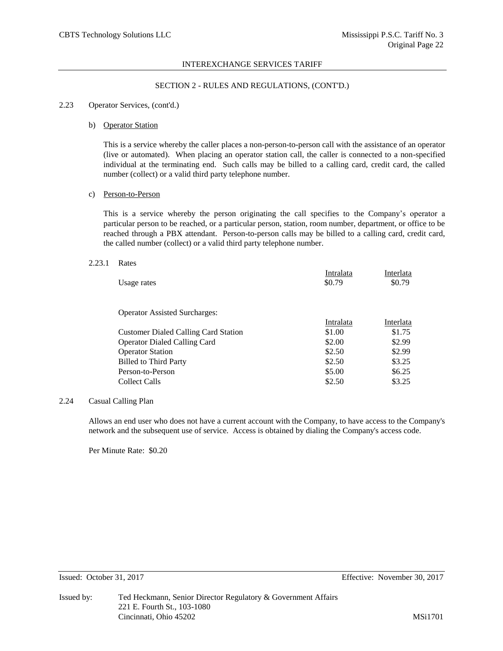## SECTION 2 - RULES AND REGULATIONS, (CONT'D.)

### 2.23 Operator Services, (cont'd.)

#### b) Operator Station

This is a service whereby the caller places a non-person-to-person call with the assistance of an operator (live or automated). When placing an operator station call, the caller is connected to a non-specified individual at the terminating end. Such calls may be billed to a calling card, credit card, the called number (collect) or a valid third party telephone number.

# c) Person-to-Person

This is a service whereby the person originating the call specifies to the Company's operator a particular person to be reached, or a particular person, station, room number, department, or office to be reached through a PBX attendant. Person-to-person calls may be billed to a calling card, credit card, the called number (collect) or a valid third party telephone number.

#### 2.23.1 Rates

| Usage rates                                 | Intralata<br>\$0.79 | Interlata<br>\$0.79 |
|---------------------------------------------|---------------------|---------------------|
| <b>Operator Assisted Surcharges:</b>        |                     |                     |
|                                             | Intralata           | Interlata           |
| <b>Customer Dialed Calling Card Station</b> | \$1.00              | \$1.75              |
| <b>Operator Dialed Calling Card</b>         | \$2.00              | \$2.99              |
| <b>Operator Station</b>                     | \$2.50              | \$2.99              |
| <b>Billed to Third Party</b>                | \$2.50              | \$3.25              |
| Person-to-Person                            | \$5.00              | \$6.25              |
| Collect Calls                               | \$2.50              | \$3.25              |

#### 2.24 Casual Calling Plan

Allows an end user who does not have a current account with the Company, to have access to the Company's network and the subsequent use of service. Access is obtained by dialing the Company's access code.

Per Minute Rate: \$0.20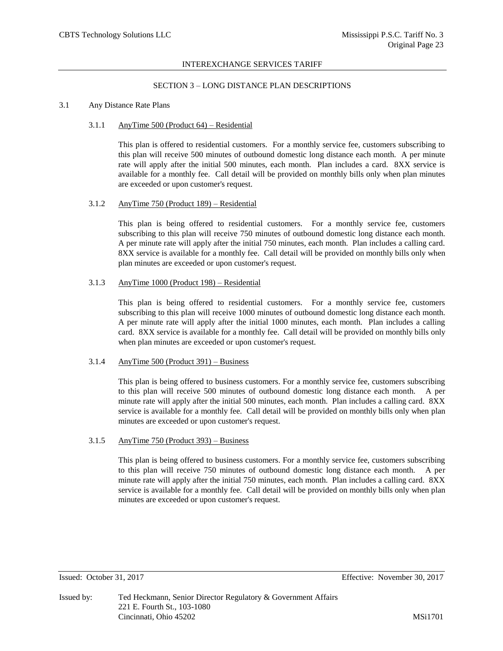# SECTION 3 – LONG DISTANCE PLAN DESCRIPTIONS

### 3.1 Any Distance Rate Plans

### 3.1.1 AnyTime 500 (Product 64) – Residential

This plan is offered to residential customers. For a monthly service fee, customers subscribing to this plan will receive 500 minutes of outbound domestic long distance each month. A per minute rate will apply after the initial 500 minutes, each month. Plan includes a card. 8XX service is available for a monthly fee. Call detail will be provided on monthly bills only when plan minutes are exceeded or upon customer's request.

# 3.1.2 AnyTime 750 (Product 189) – Residential

This plan is being offered to residential customers. For a monthly service fee, customers subscribing to this plan will receive 750 minutes of outbound domestic long distance each month. A per minute rate will apply after the initial 750 minutes, each month. Plan includes a calling card. 8XX service is available for a monthly fee. Call detail will be provided on monthly bills only when plan minutes are exceeded or upon customer's request.

# 3.1.3 AnyTime 1000 (Product 198) – Residential

This plan is being offered to residential customers. For a monthly service fee, customers subscribing to this plan will receive 1000 minutes of outbound domestic long distance each month. A per minute rate will apply after the initial 1000 minutes, each month. Plan includes a calling card. 8XX service is available for a monthly fee. Call detail will be provided on monthly bills only when plan minutes are exceeded or upon customer's request.

### 3.1.4 AnyTime 500 (Product 391) – Business

This plan is being offered to business customers. For a monthly service fee, customers subscribing to this plan will receive 500 minutes of outbound domestic long distance each month. A per minute rate will apply after the initial 500 minutes, each month. Plan includes a calling card. 8XX service is available for a monthly fee. Call detail will be provided on monthly bills only when plan minutes are exceeded or upon customer's request.

### 3.1.5 AnyTime 750 (Product 393) – Business

This plan is being offered to business customers. For a monthly service fee, customers subscribing to this plan will receive 750 minutes of outbound domestic long distance each month. A per minute rate will apply after the initial 750 minutes, each month. Plan includes a calling card. 8XX service is available for a monthly fee. Call detail will be provided on monthly bills only when plan minutes are exceeded or upon customer's request.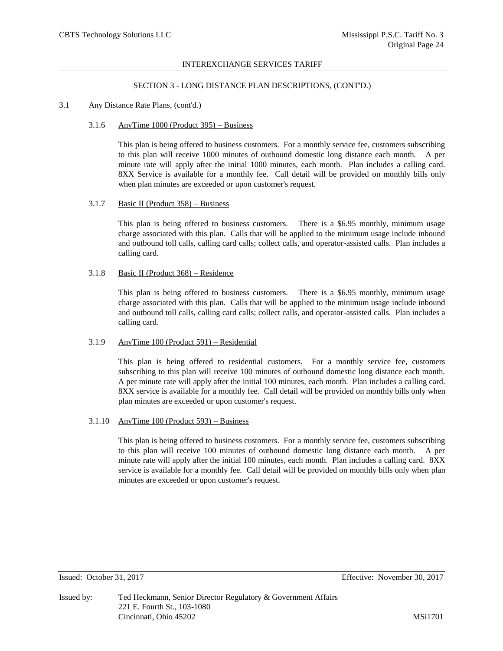### SECTION 3 - LONG DISTANCE PLAN DESCRIPTIONS, (CONT'D.)

# 3.1 Any Distance Rate Plans, (cont'd.)

#### 3.1.6 AnyTime 1000 (Product 395) – Business

This plan is being offered to business customers. For a monthly service fee, customers subscribing to this plan will receive 1000 minutes of outbound domestic long distance each month. A per minute rate will apply after the initial 1000 minutes, each month. Plan includes a calling card. 8XX Service is available for a monthly fee. Call detail will be provided on monthly bills only when plan minutes are exceeded or upon customer's request.

## 3.1.7 Basic II (Product 358) – Business

This plan is being offered to business customers. There is a \$6.95 monthly, minimum usage charge associated with this plan. Calls that will be applied to the minimum usage include inbound and outbound toll calls, calling card calls; collect calls, and operator-assisted calls. Plan includes a calling card.

### 3.1.8 Basic II (Product 368) – Residence

This plan is being offered to business customers. There is a \$6.95 monthly, minimum usage charge associated with this plan. Calls that will be applied to the minimum usage include inbound and outbound toll calls, calling card calls; collect calls, and operator-assisted calls. Plan includes a calling card.

### 3.1.9 AnyTime 100 (Product 591) – Residential

This plan is being offered to residential customers. For a monthly service fee, customers subscribing to this plan will receive 100 minutes of outbound domestic long distance each month. A per minute rate will apply after the initial 100 minutes, each month. Plan includes a calling card. 8XX service is available for a monthly fee. Call detail will be provided on monthly bills only when plan minutes are exceeded or upon customer's request.

### 3.1.10 AnyTime 100 (Product 593) – Business

This plan is being offered to business customers. For a monthly service fee, customers subscribing to this plan will receive 100 minutes of outbound domestic long distance each month. A per minute rate will apply after the initial 100 minutes, each month. Plan includes a calling card. 8XX service is available for a monthly fee. Call detail will be provided on monthly bills only when plan minutes are exceeded or upon customer's request.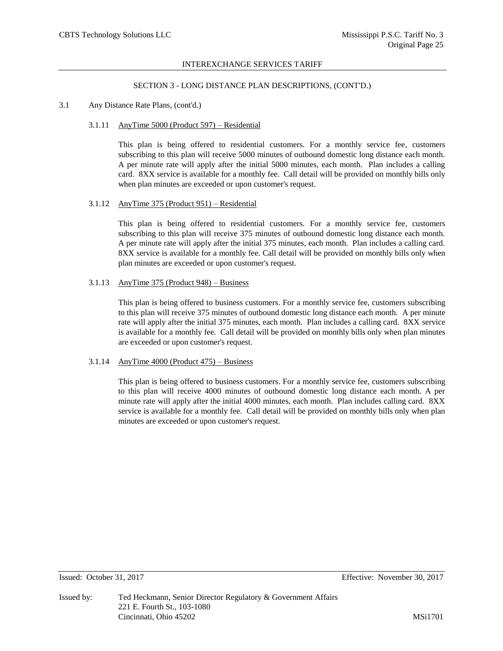### SECTION 3 - LONG DISTANCE PLAN DESCRIPTIONS, (CONT'D.)

# 3.1 Any Distance Rate Plans, (cont'd.)

### 3.1.11 AnyTime 5000 (Product 597) – Residential

This plan is being offered to residential customers. For a monthly service fee, customers subscribing to this plan will receive 5000 minutes of outbound domestic long distance each month. A per minute rate will apply after the initial 5000 minutes, each month. Plan includes a calling card. 8XX service is available for a monthly fee. Call detail will be provided on monthly bills only when plan minutes are exceeded or upon customer's request.

# 3.1.12 AnyTime 375 (Product 951) – Residential

This plan is being offered to residential customers. For a monthly service fee, customers subscribing to this plan will receive 375 minutes of outbound domestic long distance each month. A per minute rate will apply after the initial 375 minutes, each month. Plan includes a calling card. 8XX service is available for a monthly fee. Call detail will be provided on monthly bills only when plan minutes are exceeded or upon customer's request.

### 3.1.13 AnyTime 375 (Product 948) – Business

This plan is being offered to business customers. For a monthly service fee, customers subscribing to this plan will receive 375 minutes of outbound domestic long distance each month. A per minute rate will apply after the initial 375 minutes, each month. Plan includes a calling card. 8XX service is available for a monthly fee. Call detail will be provided on monthly bills only when plan minutes are exceeded or upon customer's request.

# 3.1.14 AnyTime  $4000$  (Product  $475$ ) – Business

This plan is being offered to business customers. For a monthly service fee, customers subscribing to this plan will receive 4000 minutes of outbound domestic long distance each month. A per minute rate will apply after the initial 4000 minutes, each month. Plan includes calling card. 8XX service is available for a monthly fee. Call detail will be provided on monthly bills only when plan minutes are exceeded or upon customer's request.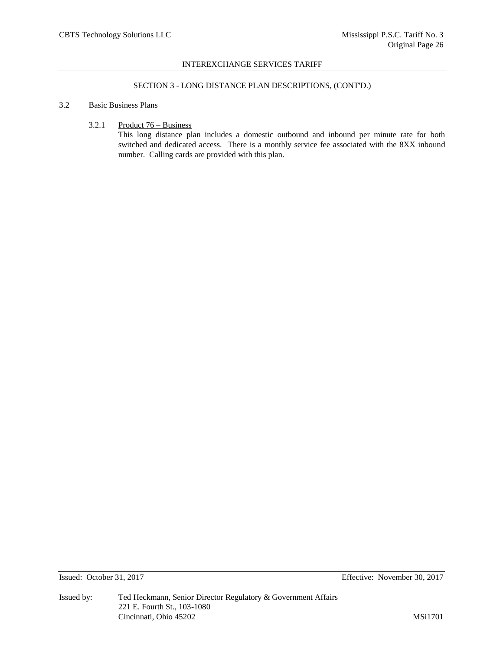# SECTION 3 - LONG DISTANCE PLAN DESCRIPTIONS, (CONT'D.)

# 3.2 Basic Business Plans

3.2.1 Product 76 – Business

This long distance plan includes a domestic outbound and inbound per minute rate for both switched and dedicated access. There is a monthly service fee associated with the 8XX inbound number. Calling cards are provided with this plan.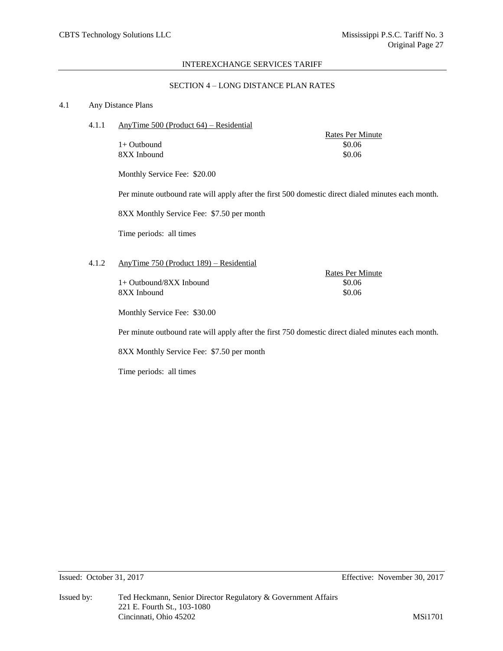# SECTION 4 – LONG DISTANCE PLAN RATES

# 4.1 Any Distance Plans

4.1.1 AnyTime 500 (Product 64) – Residential

 $1+$  Outbound  $$0.06$ 8XX Inbound \$0.06

Rates Per Minute

Monthly Service Fee: \$20.00

Per minute outbound rate will apply after the first 500 domestic direct dialed minutes each month.

8XX Monthly Service Fee: \$7.50 per month

Time periods: all times

# 4.1.2 AnyTime 750 (Product 189) – Residential

 $1+$  Outbound/8XX Inbound  $$0.06$ 8XX Inbound \$0.06

Rates Per Minute

Monthly Service Fee: \$30.00

Per minute outbound rate will apply after the first 750 domestic direct dialed minutes each month.

8XX Monthly Service Fee: \$7.50 per month

Time periods: all times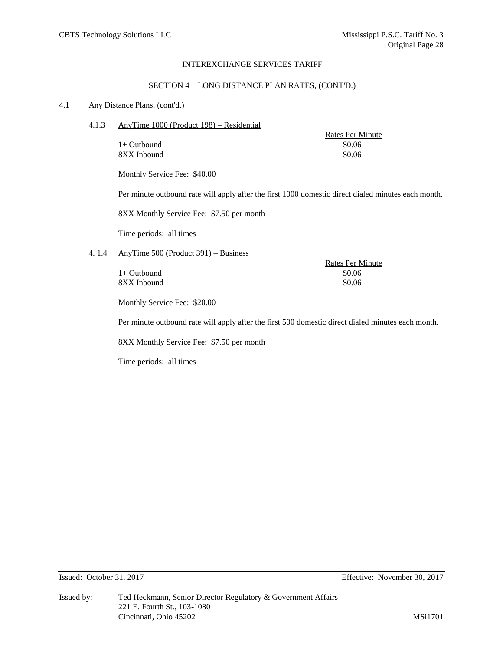# SECTION 4 – LONG DISTANCE PLAN RATES, (CONT'D.)

# 4.1 Any Distance Plans, (cont'd.)

4.1.3 AnyTime 1000 (Product 198) – Residential

 $1+$  Outbound  $$0.06$ 8XX Inbound \$0.06

Rates Per Minute

Monthly Service Fee: \$40.00

Per minute outbound rate will apply after the first 1000 domestic direct dialed minutes each month.

8XX Monthly Service Fee: \$7.50 per month

Time periods: all times

# 4. 1.4 AnyTime 500 (Product 391) – Business

 $1+$  Outbound  $$0.06$ 8XX Inbound \$0.06

Rates Per Minute

Monthly Service Fee: \$20.00

Per minute outbound rate will apply after the first 500 domestic direct dialed minutes each month.

8XX Monthly Service Fee: \$7.50 per month

Time periods: all times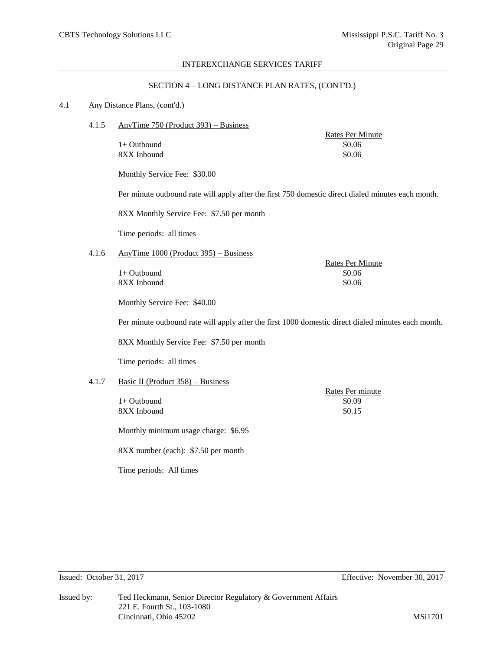# SECTION 4 – LONG DISTANCE PLAN RATES, (CONT'D.)

### 4.1 Any Distance Plans, (cont'd.)

4.1.5 AnyTime 750 (Product 393) – Business

 $1+$  Outbound  $$0.06$ 8XX Inbound \$0.06

Rates Per Minute

Monthly Service Fee: \$30.00

Per minute outbound rate will apply after the first 750 domestic direct dialed minutes each month.

8XX Monthly Service Fee: \$7.50 per month

Time periods: all times

# 4.1.6 AnyTime 1000 (Product 395) – Business

 $1+$  Outbound  $$0.06$ 8XX Inbound \$0.06

Rates Per Minute

Monthly Service Fee: \$40.00

Per minute outbound rate will apply after the first 1000 domestic direct dialed minutes each month.

8XX Monthly Service Fee: \$7.50 per month

Time periods: all times

# 4.1.7 Basic II (Product 358) – Business

 $1+$  Outbound  $$0.09$ 8XX Inbound \$0.15

Rates Per minute

Monthly minimum usage charge: \$6.95

8XX number (each): \$7.50 per month

Time periods: All times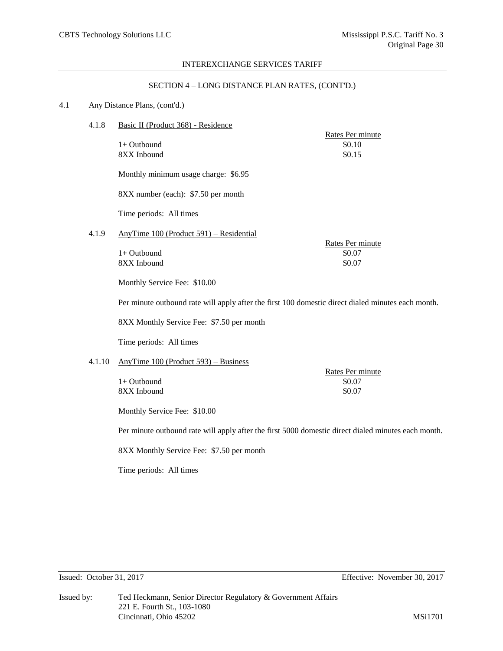# SECTION 4 – LONG DISTANCE PLAN RATES, (CONT'D.)

## 4.1 Any Distance Plans, (cont'd.)

4.1.8 Basic II (Product 368) - Residence

 $1+$  Outbound  $$0.10$  $8XX$  Inbound  $$0.15$ 

Monthly minimum usage charge: \$6.95

8XX number (each): \$7.50 per month

Time periods: All times

4.1.9 AnyTime 100 (Product 591) – Residential

|               |  | Rates Per minute |
|---------------|--|------------------|
| $1+$ Outbound |  | \$0.07           |
| 8XX Inbound   |  | \$0.07           |
|               |  |                  |

Monthly Service Fee: \$10.00

Per minute outbound rate will apply after the first 100 domestic direct dialed minutes each month.

8XX Monthly Service Fee: \$7.50 per month

Time periods: All times

# 4.1.10 AnyTime 100 (Product 593) – Business

 $1+$  Outbound  $$0.07$ 8XX Inbound \$0.07

Rates Per minute

Rates Per minute

Monthly Service Fee: \$10.00

Per minute outbound rate will apply after the first 5000 domestic direct dialed minutes each month.

8XX Monthly Service Fee: \$7.50 per month

Time periods: All times

Issued: October 31, 2017 Effective: November 30, 2017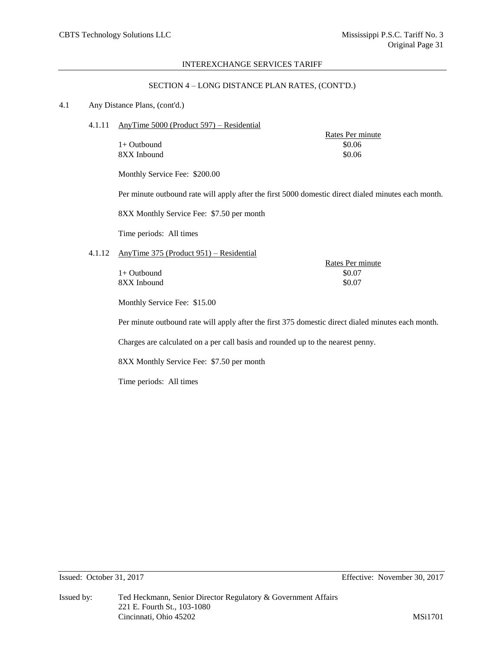# SECTION 4 – LONG DISTANCE PLAN RATES, (CONT'D.)

# 4.1 Any Distance Plans, (cont'd.)

4.1.11 AnyTime 5000 (Product 597) – Residential

 $1+$  Outbound  $$0.06$ 8XX Inbound \$0.06

Rates Per minute

Monthly Service Fee: \$200.00

Per minute outbound rate will apply after the first 5000 domestic direct dialed minutes each month.

8XX Monthly Service Fee: \$7.50 per month

Time periods: All times

# 4.1.12 AnyTime 375 (Product 951) – Residential

8XX Inbound \$0.07

Rates Per minute  $1+$  Outbound  $$0.07$ 

Monthly Service Fee: \$15.00

Per minute outbound rate will apply after the first 375 domestic direct dialed minutes each month.

Charges are calculated on a per call basis and rounded up to the nearest penny.

8XX Monthly Service Fee: \$7.50 per month

Time periods: All times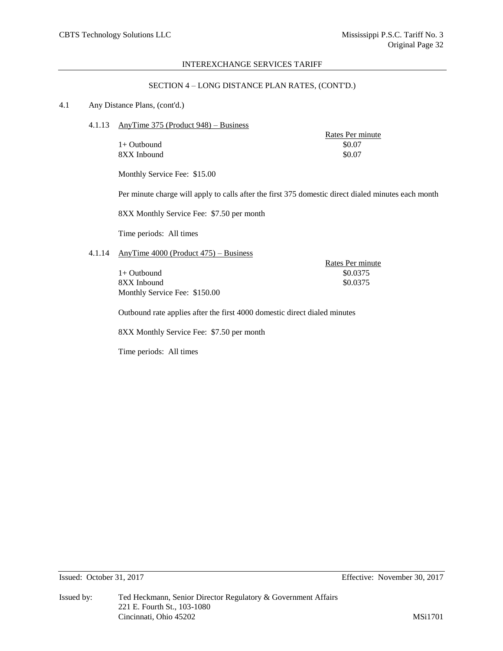# SECTION 4 – LONG DISTANCE PLAN RATES, (CONT'D.)

# 4.1 Any Distance Plans, (cont'd.)

4.1.13 AnyTime 375 (Product 948) – Business

 $1+$  Outbound  $$0.07$ 8XX Inbound \$0.07

Rates Per minute

Monthly Service Fee: \$15.00

Per minute charge will apply to calls after the first 375 domestic direct dialed minutes each month

8XX Monthly Service Fee: \$7.50 per month

Time periods: All times

# 4.1.14 AnyTime 4000 (Product 475) – Business

1+ Outbound \$0.0375 8XX Inbound \$0.0375 Monthly Service Fee: \$150.00

Rates Per minute

Outbound rate applies after the first 4000 domestic direct dialed minutes

8XX Monthly Service Fee: \$7.50 per month

Time periods: All times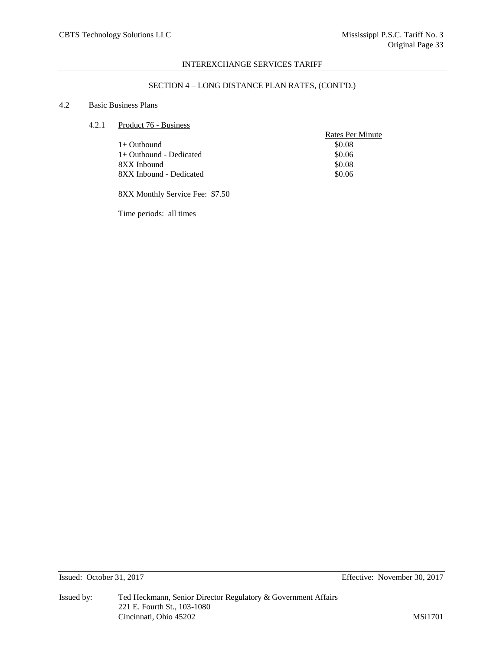# SECTION 4 – LONG DISTANCE PLAN RATES, (CONT'D.)

# 4.2 Basic Business Plans

# 4.2.1 Product 76 - Business

|                         | <b>Rates Per Minute</b> |
|-------------------------|-------------------------|
| $1+$ Outbound           | \$0.08                  |
| 1+ Outbound - Dedicated | \$0.06                  |
| 8XX Inbound             | \$0.08                  |
| 8XX Inbound - Dedicated | \$0.06                  |
|                         |                         |

8XX Monthly Service Fee: \$7.50

Time periods: all times